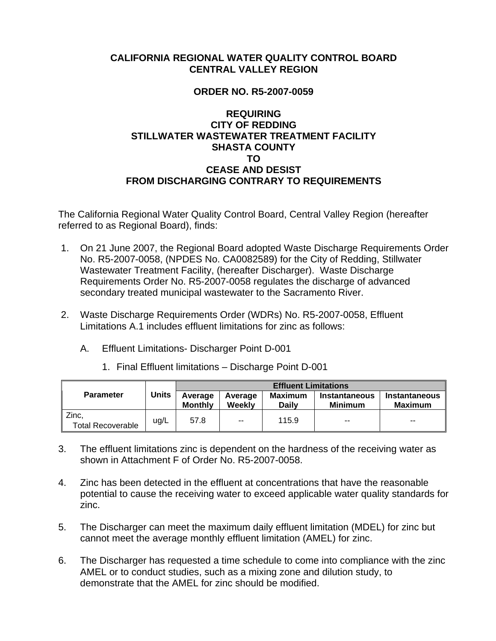## **CALIFORNIA REGIONAL WATER QUALITY CONTROL BOARD CENTRAL VALLEY REGION**

## **ORDER NO. R5-2007-0059**

## **REQUIRING CITY OF REDDING STILLWATER WASTEWATER TREATMENT FACILITY SHASTA COUNTY TO CEASE AND DESIST FROM DISCHARGING CONTRARY TO REQUIREMENTS**

The California Regional Water Quality Control Board, Central Valley Region (hereafter referred to as Regional Board), finds:

- 1. On 21 June 2007, the Regional Board adopted Waste Discharge Requirements Order No. R5-2007-0058, (NPDES No. CA0082589) for the City of Redding, Stillwater Wastewater Treatment Facility, (hereafter Discharger). Waste Discharge Requirements Order No. R5-2007-0058 regulates the discharge of advanced secondary treated municipal wastewater to the Sacramento River.
- 2. Waste Discharge Requirements Order (WDRs) No. R5-2007-0058, Effluent Limitations A.1 includes effluent limitations for zinc as follows:
	- A. Effluent Limitations- Discharger Point D-001

|                                   | <b>Units</b> | <b>Effluent Limitations</b> |                   |                  |                          |                          |  |
|-----------------------------------|--------------|-----------------------------|-------------------|------------------|--------------------------|--------------------------|--|
| <b>Parameter</b>                  |              | Average<br><b>Monthly</b>   | Average<br>Weekly | Maximum<br>Daily | Instantaneous<br>Minimum | Instantaneous<br>Maximum |  |
| Zinc,<br><b>Total Recoverable</b> | ug/L         | 57.8                        | $-$               | 115.9            | $-$                      | $-$                      |  |

1. Final Effluent limitations – Discharge Point D-001

- 3. The effluent limitations zinc is dependent on the hardness of the receiving water as shown in Attachment F of Order No. R5-2007-0058.
- 4. Zinc has been detected in the effluent at concentrations that have the reasonable potential to cause the receiving water to exceed applicable water quality standards for zinc.
- 5. The Discharger can meet the maximum daily effluent limitation (MDEL) for zinc but cannot meet the average monthly effluent limitation (AMEL) for zinc.
- 6. The Discharger has requested a time schedule to come into compliance with the zinc AMEL or to conduct studies, such as a mixing zone and dilution study, to demonstrate that the AMEL for zinc should be modified.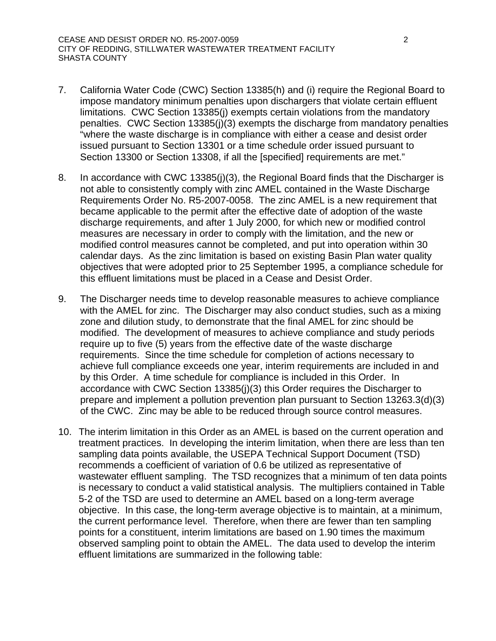- 7. California Water Code (CWC) Section 13385(h) and (i) require the Regional Board to impose mandatory minimum penalties upon dischargers that violate certain effluent limitations. CWC Section 13385(j) exempts certain violations from the mandatory penalties. CWC Section 13385(j)(3) exempts the discharge from mandatory penalties "where the waste discharge is in compliance with either a cease and desist order issued pursuant to Section 13301 or a time schedule order issued pursuant to Section 13300 or Section 13308, if all the [specified] requirements are met."
- 8. In accordance with CWC 13385(j)(3), the Regional Board finds that the Discharger is not able to consistently comply with zinc AMEL contained in the Waste Discharge Requirements Order No. R5-2007-0058. The zinc AMEL is a new requirement that became applicable to the permit after the effective date of adoption of the waste discharge requirements, and after 1 July 2000, for which new or modified control measures are necessary in order to comply with the limitation, and the new or modified control measures cannot be completed, and put into operation within 30 calendar days. As the zinc limitation is based on existing Basin Plan water quality objectives that were adopted prior to 25 September 1995, a compliance schedule for this effluent limitations must be placed in a Cease and Desist Order.
- 9. The Discharger needs time to develop reasonable measures to achieve compliance with the AMEL for zinc. The Discharger may also conduct studies, such as a mixing zone and dilution study, to demonstrate that the final AMEL for zinc should be modified. The development of measures to achieve compliance and study periods require up to five (5) years from the effective date of the waste discharge requirements. Since the time schedule for completion of actions necessary to achieve full compliance exceeds one year, interim requirements are included in and by this Order. A time schedule for compliance is included in this Order. In accordance with CWC Section 13385(j)(3) this Order requires the Discharger to prepare and implement a pollution prevention plan pursuant to Section 13263.3(d)(3) of the CWC. Zinc may be able to be reduced through source control measures.
- 10. The interim limitation in this Order as an AMEL is based on the current operation and treatment practices. In developing the interim limitation, when there are less than ten sampling data points available, the USEPA Technical Support Document (TSD) recommends a coefficient of variation of 0.6 be utilized as representative of wastewater effluent sampling. The TSD recognizes that a minimum of ten data points is necessary to conduct a valid statistical analysis. The multipliers contained in Table 5-2 of the TSD are used to determine an AMEL based on a long-term average objective. In this case, the long-term average objective is to maintain, at a minimum, the current performance level. Therefore, when there are fewer than ten sampling points for a constituent, interim limitations are based on 1.90 times the maximum observed sampling point to obtain the AMEL. The data used to develop the interim effluent limitations are summarized in the following table: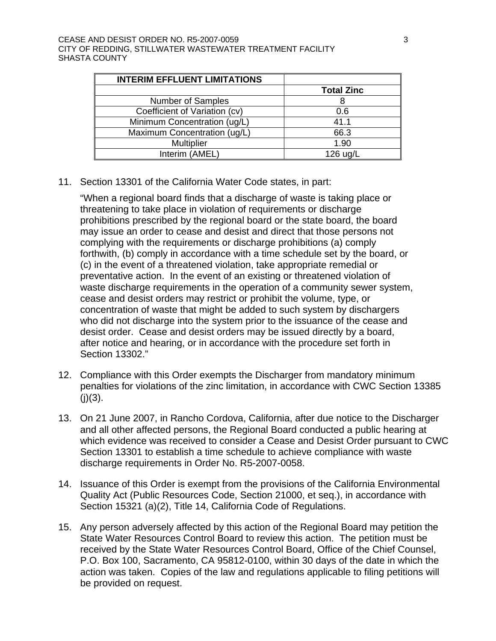| <b>INTERIM EFFLUENT LIMITATIONS</b> |                   |
|-------------------------------------|-------------------|
|                                     | <b>Total Zinc</b> |
| Number of Samples                   | 8                 |
| Coefficient of Variation (cv)       | 0.6               |
| Minimum Concentration (ug/L)        | 41.1              |
| Maximum Concentration (ug/L)        | 66.3              |
| Multiplier                          | 1.90              |
| Interim (AMEL)                      | 126 ug/L          |

11. Section 13301 of the California Water Code states, in part:

"When a regional board finds that a discharge of waste is taking place or threatening to take place in violation of requirements or discharge prohibitions prescribed by the regional board or the state board, the board may issue an order to cease and desist and direct that those persons not complying with the requirements or discharge prohibitions (a) comply forthwith, (b) comply in accordance with a time schedule set by the board, or (c) in the event of a threatened violation, take appropriate remedial or preventative action. In the event of an existing or threatened violation of waste discharge requirements in the operation of a community sewer system, cease and desist orders may restrict or prohibit the volume, type, or concentration of waste that might be added to such system by dischargers who did not discharge into the system prior to the issuance of the cease and desist order. Cease and desist orders may be issued directly by a board, after notice and hearing, or in accordance with the procedure set forth in Section 13302."

- 12. Compliance with this Order exempts the Discharger from mandatory minimum penalties for violations of the zinc limitation, in accordance with CWC Section 13385  $(i)(3)$ .
- 13. On 21 June 2007, in Rancho Cordova, California, after due notice to the Discharger and all other affected persons, the Regional Board conducted a public hearing at which evidence was received to consider a Cease and Desist Order pursuant to CWC Section 13301 to establish a time schedule to achieve compliance with waste discharge requirements in Order No. R5-2007-0058.
- 14. Issuance of this Order is exempt from the provisions of the California Environmental Quality Act (Public Resources Code, Section 21000, et seq.), in accordance with Section 15321 (a)(2), Title 14, California Code of Regulations.
- 15. Any person adversely affected by this action of the Regional Board may petition the State Water Resources Control Board to review this action. The petition must be received by the State Water Resources Control Board, Office of the Chief Counsel, P.O. Box 100, Sacramento, CA 95812-0100, within 30 days of the date in which the action was taken. Copies of the law and regulations applicable to filing petitions will be provided on request.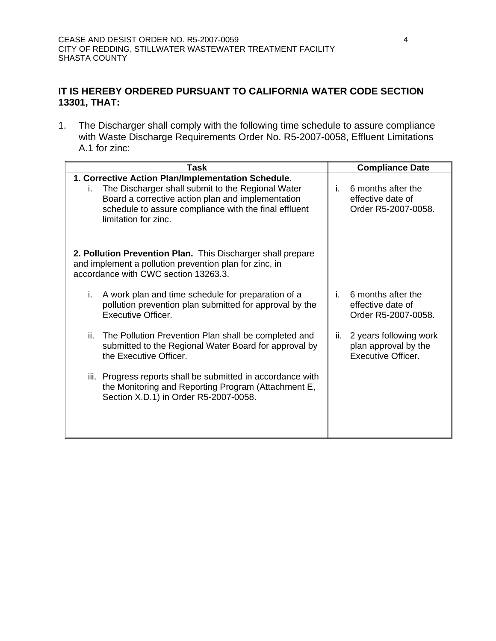## **IT IS HEREBY ORDERED PURSUANT TO CALIFORNIA WATER CODE SECTION 13301, THAT:**

1. The Discharger shall comply with the following time schedule to assure compliance with Waste Discharge Requirements Order No. R5-2007-0058, Effluent Limitations A.1 for zinc:

| Task |                                                                                                                                                                                                                                               |     | <b>Compliance Date</b>                                                      |  |
|------|-----------------------------------------------------------------------------------------------------------------------------------------------------------------------------------------------------------------------------------------------|-----|-----------------------------------------------------------------------------|--|
| i.   | 1. Corrective Action Plan/Implementation Schedule.<br>The Discharger shall submit to the Regional Water<br>Board a corrective action plan and implementation<br>schedule to assure compliance with the final effluent<br>limitation for zinc. | i.  | 6 months after the<br>effective date of<br>Order R5-2007-0058.              |  |
|      | 2. Pollution Prevention Plan. This Discharger shall prepare<br>and implement a pollution prevention plan for zinc, in<br>accordance with CWC section 13263.3.                                                                                 |     |                                                                             |  |
| İ.   | A work plan and time schedule for preparation of a<br>pollution prevention plan submitted for approval by the<br><b>Executive Officer.</b>                                                                                                    | i.  | 6 months after the<br>effective date of<br>Order R5-2007-0058.              |  |
| ii.  | The Pollution Prevention Plan shall be completed and<br>submitted to the Regional Water Board for approval by<br>the Executive Officer.                                                                                                       | ii. | 2 years following work<br>plan approval by the<br><b>Executive Officer.</b> |  |
|      | iii. Progress reports shall be submitted in accordance with<br>the Monitoring and Reporting Program (Attachment E,<br>Section X.D.1) in Order R5-2007-0058.                                                                                   |     |                                                                             |  |